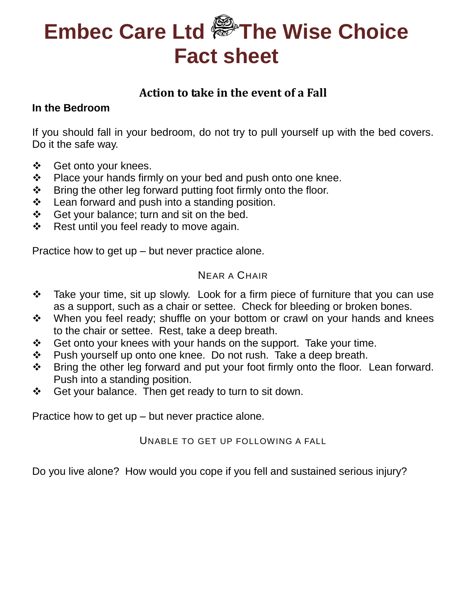## **Embec Care Ltd The Wise Choice Fact sheet**

## **Action to take in the event of a Fall**

#### **In the Bedroom**

If you should fall in your bedroom, do not try to pull yourself up with the bed covers. Do it the safe way.

- ❖ Get onto your knees.
- $\div$  Place your hands firmly on your bed and push onto one knee.
- $\div$  Bring the other leg forward putting foot firmly onto the floor.
- $\div$  Lean forward and push into a standing position.
- Get your balance; turn and sit on the bed.
- ❖ Rest until you feel ready to move again.

Practice how to get up – but never practice alone.

#### NEAR A CHAIR

- Take your time, sit up slowly. Look for a firm piece of furniture that you can use as a support, such as a chair or settee. Check for bleeding or broken bones.
- When you feel ready; shuffle on your bottom or crawl on your hands and knees to the chair or settee. Rest, take a deep breath.
- $\div$  Get onto your knees with your hands on the support. Take your time.
- ❖ Push yourself up onto one knee. Do not rush. Take a deep breath.
- ❖ Bring the other leg forward and put your foot firmly onto the floor. Lean forward. Push into a standing position.
- ❖ Get your balance. Then get ready to turn to sit down.

Practice how to get up – but never practice alone.

#### UNABLE TO GET UP FOLLOWING A FALL

Do you live alone? How would you cope if you fell and sustained serious injury?